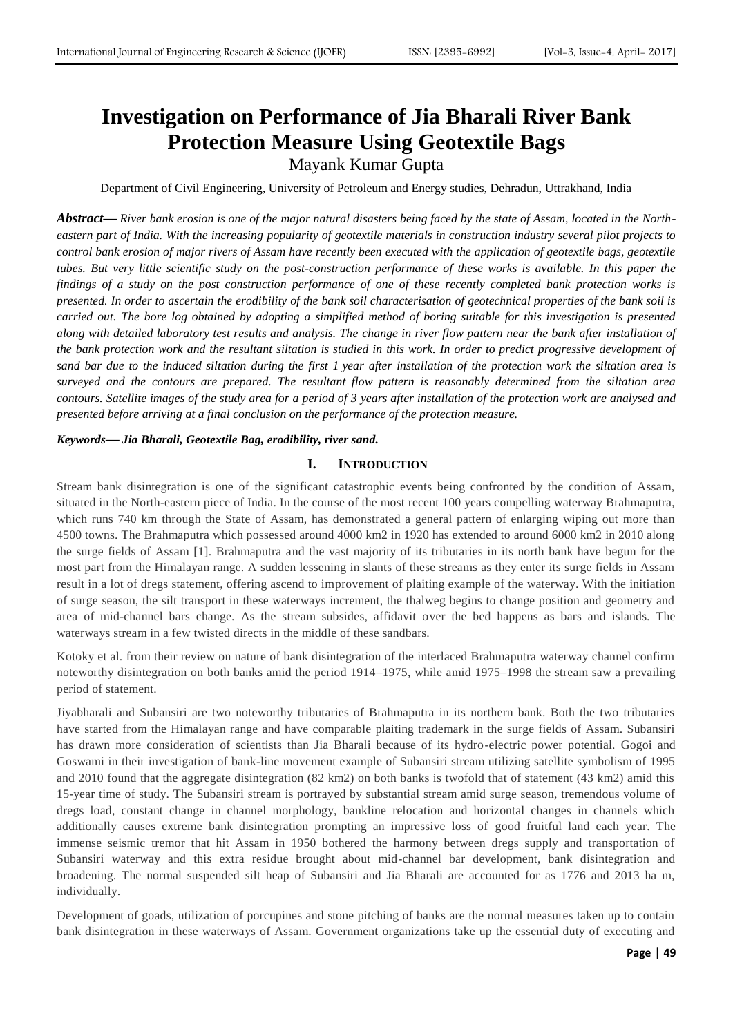# **Investigation on Performance of Jia Bharali River Bank Protection Measure Using Geotextile Bags**

Mayank Kumar Gupta

Department of Civil Engineering, University of Petroleum and Energy studies, Dehradun, Uttrakhand, India

*Abstract***—** *River bank erosion is one of the major natural disasters being faced by the state of Assam, located in the Northeastern part of India. With the increasing popularity of geotextile materials in construction industry several pilot projects to control bank erosion of major rivers of Assam have recently been executed with the application of geotextile bags, geotextile tubes. But very little scientific study on the post-construction performance of these works is available. In this paper the findings of a study on the post construction performance of one of these recently completed bank protection works is presented. In order to ascertain the erodibility of the bank soil characterisation of geotechnical properties of the bank soil is carried out. The bore log obtained by adopting a simplified method of boring suitable for this investigation is presented along with detailed laboratory test results and analysis. The change in river flow pattern near the bank after installation of the bank protection work and the resultant siltation is studied in this work. In order to predict progressive development of sand bar due to the induced siltation during the first 1 year after installation of the protection work the siltation area is surveyed and the contours are prepared. The resultant flow pattern is reasonably determined from the siltation area contours. Satellite images of the study area for a period of 3 years after installation of the protection work are analysed and presented before arriving at a final conclusion on the performance of the protection measure.*

#### *Keywords***—** *Jia Bharali, Geotextile Bag, erodibility, river sand.*

## **I. INTRODUCTION**

Stream bank disintegration is one of the significant catastrophic events being confronted by the condition of Assam, situated in the North-eastern piece of India. In the course of the most recent 100 years compelling waterway Brahmaputra, which runs 740 km through the State of Assam, has demonstrated a general pattern of enlarging wiping out more than 4500 towns. The Brahmaputra which possessed around 4000 km2 in 1920 has extended to around 6000 km2 in 2010 along the surge fields of Assam [1]. Brahmaputra and the vast majority of its tributaries in its north bank have begun for the most part from the Himalayan range. A sudden lessening in slants of these streams as they enter its surge fields in Assam result in a lot of dregs statement, offering ascend to improvement of plaiting example of the waterway. With the initiation of surge season, the silt transport in these waterways increment, the thalweg begins to change position and geometry and area of mid-channel bars change. As the stream subsides, affidavit over the bed happens as bars and islands. The waterways stream in a few twisted directs in the middle of these sandbars.

Kotoky et al. from their review on nature of bank disintegration of the interlaced Brahmaputra waterway channel confirm noteworthy disintegration on both banks amid the period 1914–1975, while amid 1975–1998 the stream saw a prevailing period of statement.

Jiyabharali and Subansiri are two noteworthy tributaries of Brahmaputra in its northern bank. Both the two tributaries have started from the Himalayan range and have comparable plaiting trademark in the surge fields of Assam. Subansiri has drawn more consideration of scientists than Jia Bharali because of its hydro-electric power potential. Gogoi and Goswami in their investigation of bank-line movement example of Subansiri stream utilizing satellite symbolism of 1995 and 2010 found that the aggregate disintegration (82 km2) on both banks is twofold that of statement (43 km2) amid this 15-year time of study. The Subansiri stream is portrayed by substantial stream amid surge season, tremendous volume of dregs load, constant change in channel morphology, bankline relocation and horizontal changes in channels which additionally causes extreme bank disintegration prompting an impressive loss of good fruitful land each year. The immense seismic tremor that hit Assam in 1950 bothered the harmony between dregs supply and transportation of Subansiri waterway and this extra residue brought about mid-channel bar development, bank disintegration and broadening. The normal suspended silt heap of Subansiri and Jia Bharali are accounted for as 1776 and 2013 ha m, individually.

Development of goads, utilization of porcupines and stone pitching of banks are the normal measures taken up to contain bank disintegration in these waterways of Assam. Government organizations take up the essential duty of executing and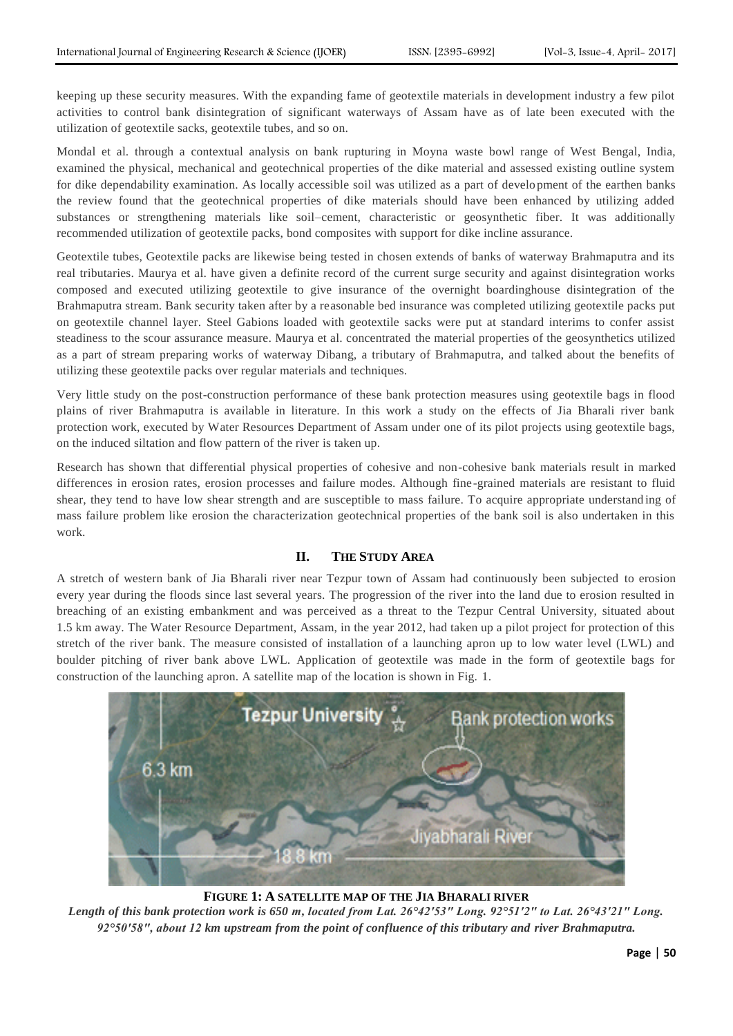keeping up these security measures. With the expanding fame of geotextile materials in development industry a few pilot activities to control bank disintegration of significant waterways of Assam have as of late been executed with the utilization of geotextile sacks, geotextile tubes, and so on.

Mondal et al. through a contextual analysis on bank rupturing in Moyna waste bowl range of West Bengal, India, examined the physical, mechanical and geotechnical properties of the dike material and assessed existing outline system for dike dependability examination. As locally accessible soil was utilized as a part of development of the earthen banks the review found that the geotechnical properties of dike materials should have been enhanced by utilizing added substances or strengthening materials like soil–cement, characteristic or geosynthetic fiber. It was additionally recommended utilization of geotextile packs, bond composites with support for dike incline assurance.

Geotextile tubes, Geotextile packs are likewise being tested in chosen extends of banks of waterway Brahmaputra and its real tributaries. Maurya et al. have given a definite record of the current surge security and against disintegration works composed and executed utilizing geotextile to give insurance of the overnight boardinghouse disintegration of the Brahmaputra stream. Bank security taken after by a reasonable bed insurance was completed utilizing geotextile packs put on geotextile channel layer. Steel Gabions loaded with geotextile sacks were put at standard interims to confer assist steadiness to the scour assurance measure. Maurya et al. concentrated the material properties of the geosynthetics utilized as a part of stream preparing works of waterway Dibang, a tributary of Brahmaputra, and talked about the benefits of utilizing these geotextile packs over regular materials and techniques.

Very little study on the post-construction performance of these bank protection measures using geotextile bags in flood plains of river Brahmaputra is available in literature. In this work a study on the effects of Jia Bharali river bank protection work, executed by Water Resources Department of Assam under one of its pilot projects using geotextile bags, on the induced siltation and flow pattern of the river is taken up.

Research has shown that differential physical properties of cohesive and non-cohesive bank materials result in marked differences in erosion rates, erosion processes and failure modes. Although fine-grained materials are resistant to fluid shear, they tend to have low shear strength and are susceptible to mass failure. To acquire appropriate understand ing of mass failure problem like erosion the characterization geotechnical properties of the bank soil is also undertaken in this work.

# **II. THE STUDY AREA**

A stretch of western bank of Jia Bharali river near Tezpur town of Assam had continuously been subjected to erosion every year during the floods since last several years. The progression of the river into the land due to erosion resulted in breaching of an existing embankment and was perceived as a threat to the Tezpur Central University, situated about 1.5 km away. The Water Resource Department, Assam, in the year 2012, had taken up a pilot project for protection of this stretch of the river bank. The measure consisted of installation of a launching apron up to low water level (LWL) and boulder pitching of river bank above LWL. Application of geotextile was made in the form of geotextile bags for construction of the launching apron. A satellite map of the location is shown in Fig. [1.](http://link.springer.com/article/10.1007/s40891-016-0052-8#Fig1)



**FIGURE 1: A SATELLITE MAP OF THE JIA BHARALI RIVER**

*Length of this bank protection work is 650 m, located from Lat. 26°42′53″ Long. 92°51′2″ to Lat. 26°43′21″ Long. 92°50′58″, about 12 km upstream from the point of confluence of this tributary and river Brahmaputra.*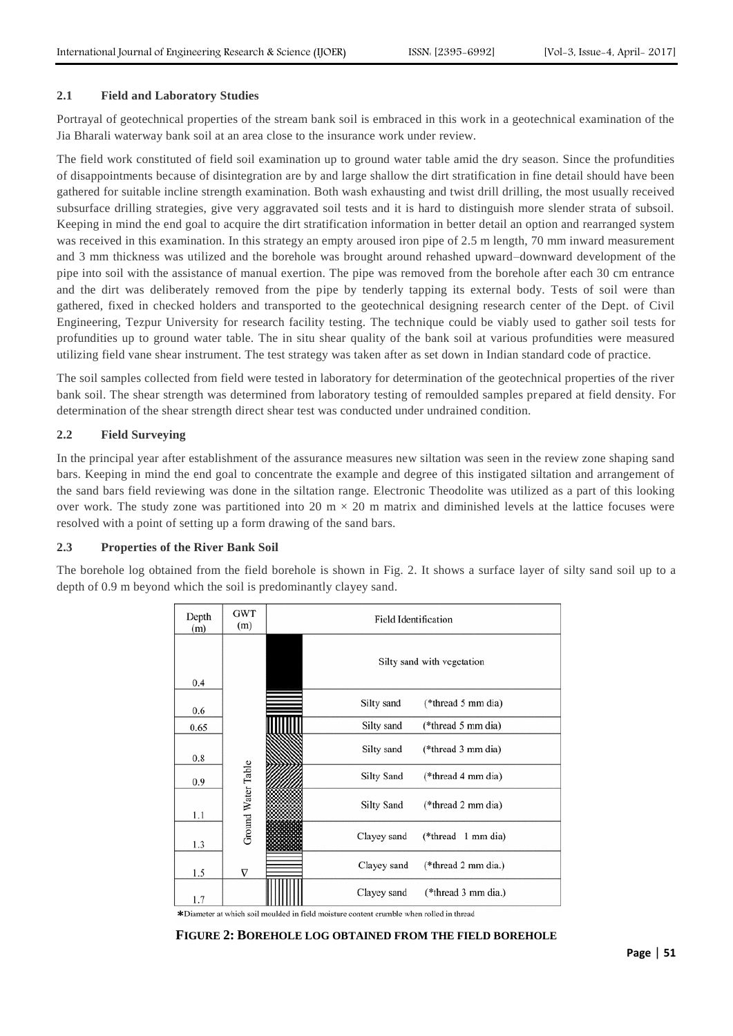#### **2.1 Field and Laboratory Studies**

Portrayal of geotechnical properties of the stream bank soil is embraced in this work in a geotechnical examination of the Jia Bharali waterway bank soil at an area close to the insurance work under review.

The field work constituted of field soil examination up to ground water table amid the dry season. Since the profundities of disappointments because of disintegration are by and large shallow the dirt stratification in fine detail should have been gathered for suitable incline strength examination. Both wash exhausting and twist drill drilling, the most usually received subsurface drilling strategies, give very aggravated soil tests and it is hard to distinguish more slender strata of subsoil. Keeping in mind the end goal to acquire the dirt stratification information in better detail an option and rearranged system was received in this examination. In this strategy an empty aroused iron pipe of 2.5 m length, 70 mm inward measurement and 3 mm thickness was utilized and the borehole was brought around rehashed upward–downward development of the pipe into soil with the assistance of manual exertion. The pipe was removed from the borehole after each 30 cm entrance and the dirt was deliberately removed from the pipe by tenderly tapping its external body. Tests of soil were than gathered, fixed in checked holders and transported to the geotechnical designing research center of the Dept. of Civil Engineering, Tezpur University for research facility testing. The technique could be viably used to gather soil tests for profundities up to ground water table. The in situ shear quality of the bank soil at various profundities were measured utilizing field vane shear instrument. The test strategy was taken after as set down in Indian standard code of practice.

The soil samples collected from field were tested in laboratory for determination of the geotechnical properties of the river bank soil. The shear strength was determined from laboratory testing of remoulded samples prepared at field density. For determination of the shear strength direct shear test was conducted under undrained condition.

# **2.2 Field Surveying**

In the principal year after establishment of the assurance measures new siltation was seen in the review zone shaping sand bars. Keeping in mind the end goal to concentrate the example and degree of this instigated siltation and arrangement of the sand bars field reviewing was done in the siltation range. Electronic Theodolite was utilized as a part of this looking over work. The study zone was partitioned into 20 m  $\times$  20 m matrix and diminished levels at the lattice focuses were resolved with a point of setting up a form drawing of the sand bars.

# **2.3 Properties of the River Bank Soil**

The borehole log obtained from the field borehole is shown in Fig. [2.](http://link.springer.com/article/10.1007/s40891-016-0052-8#Fig2) It shows a surface layer of silty sand soil up to a depth of 0.9 m beyond which the soil is predominantly clayey sand.

| Depth<br>(m) | <b>GWT</b><br>(m)  | Field Identification |                            |
|--------------|--------------------|----------------------|----------------------------|
| 0.4          |                    |                      | Silty sand with vegetation |
| 0.6          |                    | Silty sand           | (*thread 5 mm dia)         |
| 0.65         |                    | Silty sand           | (*thread 5 mm dia)         |
| 0.8          |                    | Silty sand           | (*thread 3 mm dia)         |
| 0.9          |                    | Silty Sand           | (*thread 4 mm dia)         |
| 1.1          | Ground Water Table | <b>Silty Sand</b>    | (*thread 2 mm dia)         |
| 1.3          |                    | Clayey sand          | $(*thread 1 mm dia)$       |
| 1.5          | $\nabla$           | Clayey sand          | (*thread 2 mm dia.)        |
| 1.7          |                    | Clayey sand          | (*thread 3 mm dia.)        |

\*Diameter at which soil moulded in field moisture content crumble when rolled in thread

#### **FIGURE 2: BOREHOLE LOG OBTAINED FROM THE FIELD BOREHOLE**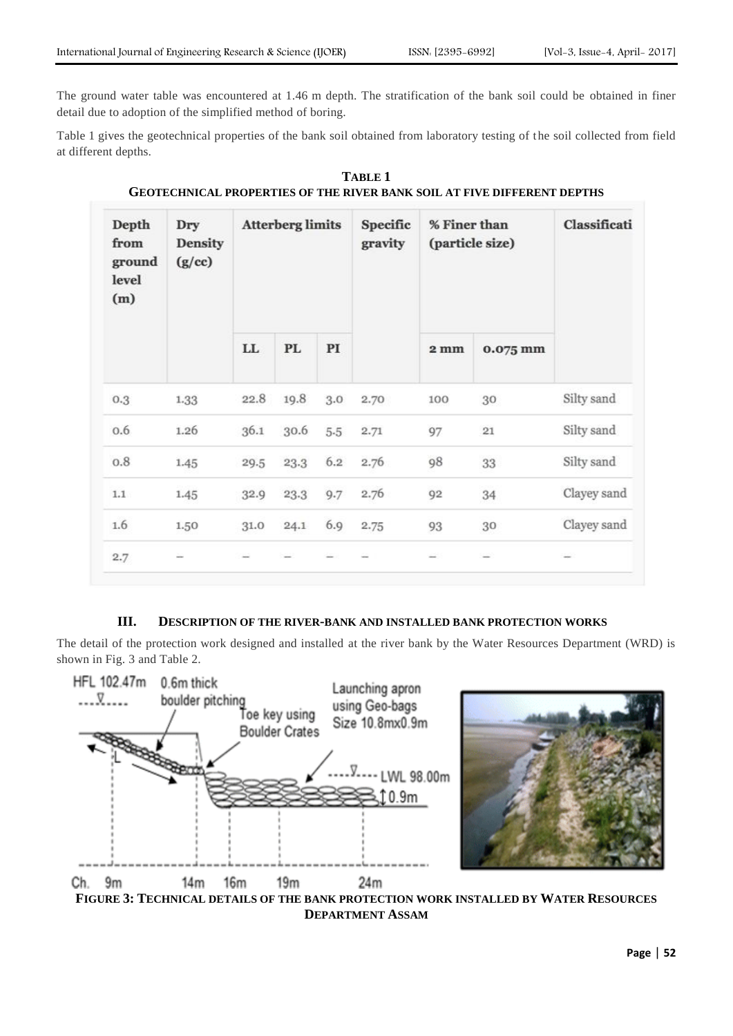The ground water table was encountered at 1.46 m depth. The stratification of the bank soil could be obtained in finer detail due to adoption of the simplified method of boring.

Table [1](http://link.springer.com/article/10.1007/s40891-016-0052-8#Tab1) gives the geotechnical properties of the bank soil obtained from laboratory testing of the soil collected from field at different depths.

| Depth<br>from<br>ground<br>level<br>(m) | Dry<br><b>Density</b><br>(g/cc) | <b>Atterberg limits</b> |      |     | Specific<br>gravity | % Finer than<br>(particle size) |          | Classificati |
|-----------------------------------------|---------------------------------|-------------------------|------|-----|---------------------|---------------------------------|----------|--------------|
|                                         |                                 | LL.                     | PL   | PI  |                     | $2 \text{ mm}$                  | 0.075 mm |              |
| 0.3                                     | 1.33                            | 22.8                    | 19.8 | 3.0 | 2.70                | 100                             | 30       | Silty sand   |
| 0.6                                     | 1.26                            | 36.1                    | 30.6 | 5.5 | 2.71                | 97                              | 21       | Silty sand   |
| 0.8                                     | 1.45                            | 29.5                    | 23.3 | 6.2 | 2.76                | 98                              | 33       | Silty sand   |
| 1.1                                     | 1.45                            | 32.9                    | 23.3 | 9.7 | 2.76                | 92                              | 34       | Clayey sand  |
| 1.6                                     | 1.50                            | 31.0                    | 24.1 | 6.9 | 2.75                | 93                              | 30       | Clayey sand  |
| 2.7                                     | -                               |                         |      |     |                     |                                 |          |              |

**TABLE 1 GEOTECHNICAL PROPERTIES OF THE RIVER BANK SOIL AT FIVE DIFFERENT DEPTHS**

# **III. DESCRIPTION OF THE RIVER-BANK AND INSTALLED BANK PROTECTION WORKS**

The detail of the protection work designed and installed at the river bank by the Water Resources Department (WRD) is shown in Fig. [3](http://link.springer.com/article/10.1007/s40891-016-0052-8#Fig3) and Table [2.](http://link.springer.com/article/10.1007/s40891-016-0052-8#Tab2)





**FIGURE 3: TECHNICAL DETAILS OF THE BANK PROTECTION WORK INSTALLED BY WATER RESOURCES DEPARTMENT ASSAM**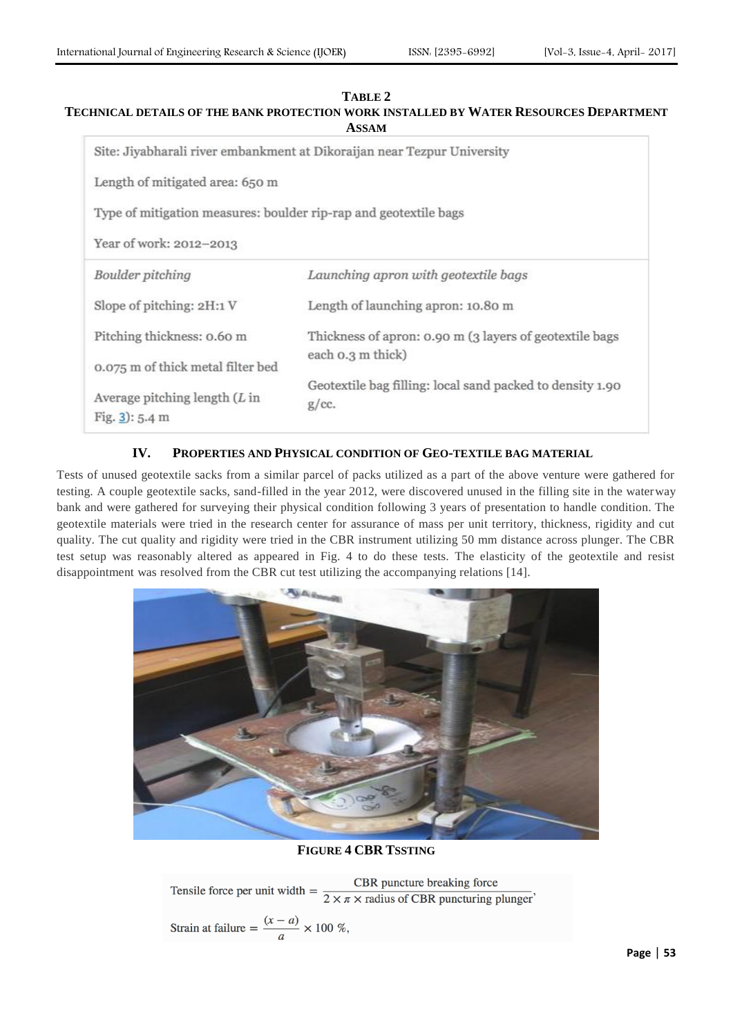# **TABLE 2**

# **TECHNICAL DETAILS OF THE BANK PROTECTION WORK INSTALLED BY WATER RESOURCES DEPARTMENT ASSAM**

|                                                                  | Site: Jiyabharali river embankment at Dikoraijan near Tezpur University |
|------------------------------------------------------------------|-------------------------------------------------------------------------|
| Length of mitigated area: 650 m                                  |                                                                         |
| Type of mitigation measures: boulder rip-rap and geotextile bags |                                                                         |
| Year of work: 2012-2013                                          |                                                                         |
| Boulder pitching                                                 | Launching apron with geotextile bags                                    |
| Slope of pitching: 2H:1 V                                        | Length of launching apron: 10.80 m                                      |
| Pitching thickness: 0.60 m                                       | Thickness of apron: 0.90 m (3 layers of geotextile bags                 |
| 0.075 m of thick metal filter bed                                | each 0.3 m thick)                                                       |
| Average pitching length $(L \infty)$<br>Fig. $3$ : 5.4 m         | Geotextile bag filling: local sand packed to density 1.90<br>g/cc.      |

# **IV. PROPERTIES AND PHYSICAL CONDITION OF GEO-TEXTILE BAG MATERIAL**

Tests of unused geotextile sacks from a similar parcel of packs utilized as a part of the above venture were gathered for testing. A couple geotextile sacks, sand-filled in the year 2012, were discovered unused in the filling site in the waterway bank and were gathered for surveying their physical condition following 3 years of presentation to handle condition. The geotextile materials were tried in the research center for assurance of mass per unit territory, thickness, rigidity and cut quality. The cut quality and rigidity were tried in the CBR instrument utilizing 50 mm distance across plunger. The CBR test setup was reasonably altered as appeared in Fig. 4 to do these tests. The elasticity of the geotextile and resist disappointment was resolved from the CBR cut test utilizing the accompanying relations [14].



# **FIGURE 4 CBR TSSTING**

CBR puncture breaking force Tensile force per unit width  $=$  $2 \times \pi \times$  radius of CBR puncturing plunger'

Strain at failure = 
$$
\frac{(x-a)}{a} \times 100 \%
$$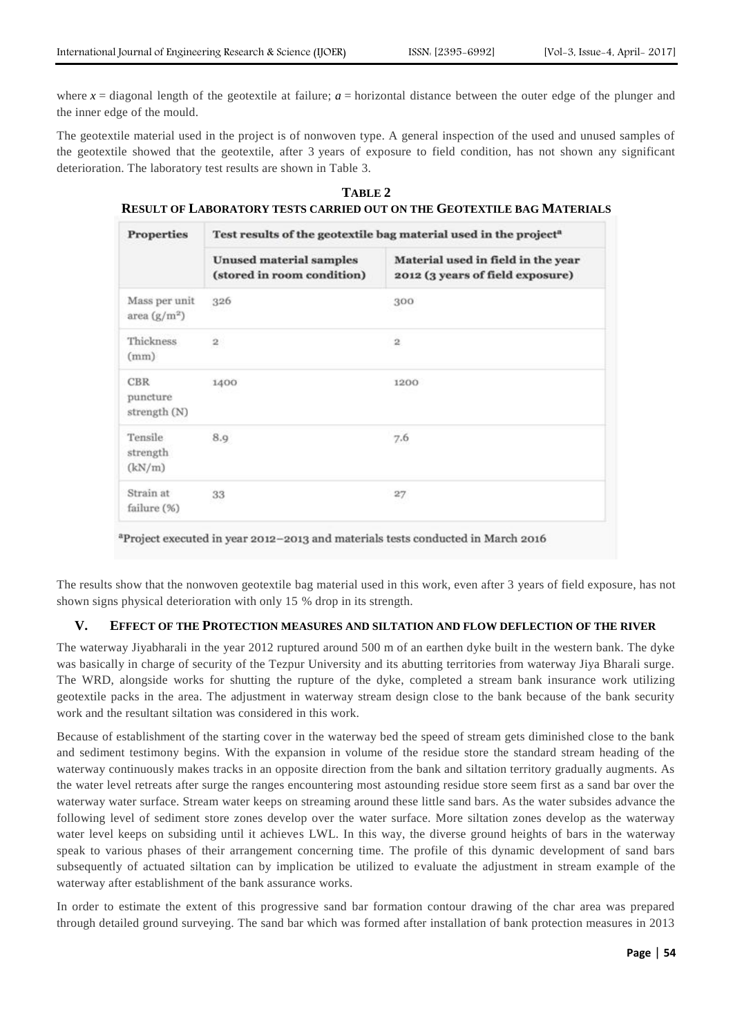where  $x =$  diagonal length of the geotextile at failure;  $a =$  horizontal distance between the outer edge of the plunger and the inner edge of the mould.

The geotextile material used in the project is of nonwoven type. A general inspection of the used and unused samples of the geotextile showed that the geotextile, after 3 years of exposure to field condition, has not shown any significant deterioration. The laboratory test results are shown in Table [3.](http://link.springer.com/article/10.1007/s40891-016-0052-8#Tab3)

| TABLE 2                                                                       |  |
|-------------------------------------------------------------------------------|--|
| <b>RESULT OF LABORATORY TESTS CARRIED OUT ON THE GEOTEXTILE BAG MATERIALS</b> |  |

| <b>Properties</b>                      | Test results of the geotextile bag material used in the project <sup>a</sup> |                                                                        |  |  |  |
|----------------------------------------|------------------------------------------------------------------------------|------------------------------------------------------------------------|--|--|--|
|                                        | <b>Unused material samples</b><br>(stored in room condition)                 | Material used in field in the year<br>2012 (3 years of field exposure) |  |  |  |
| Mass per unit<br>area $(g/m^2)$        | 326                                                                          | 300                                                                    |  |  |  |
| Thickness<br>(mm)                      | $\mathbf{2}$                                                                 | $\mathbf{2}$                                                           |  |  |  |
| <b>CBR</b><br>puncture<br>strength (N) | 1400                                                                         | 1200                                                                   |  |  |  |
| Tensile<br>strength<br>(kN/m)          | 8.9                                                                          | 7.6                                                                    |  |  |  |
| Strain at<br>failure (%)               | 33                                                                           | 27                                                                     |  |  |  |

<sup>a</sup>Project executed in year 2012-2013 and materials tests conducted in March 2016

The results show that the nonwoven geotextile bag material used in this work, even after 3 years of field exposure, has not shown signs physical deterioration with only 15 % drop in its strength.

# **V. EFFECT OF THE PROTECTION MEASURES AND SILTATION AND FLOW DEFLECTION OF THE RIVER**

The waterway Jiyabharali in the year 2012 ruptured around 500 m of an earthen dyke built in the western bank. The dyke was basically in charge of security of the Tezpur University and its abutting territories from waterway Jiya Bharali surge. The WRD, alongside works for shutting the rupture of the dyke, completed a stream bank insurance work utilizing geotextile packs in the area. The adjustment in waterway stream design close to the bank because of the bank security work and the resultant siltation was considered in this work.

Because of establishment of the starting cover in the waterway bed the speed of stream gets diminished close to the bank and sediment testimony begins. With the expansion in volume of the residue store the standard stream heading of the waterway continuously makes tracks in an opposite direction from the bank and siltation territory gradually augments. As the water level retreats after surge the ranges encountering most astounding residue store seem first as a sand bar over the waterway water surface. Stream water keeps on streaming around these little sand bars. As the water subsides advance the following level of sediment store zones develop over the water surface. More siltation zones develop as the waterway water level keeps on subsiding until it achieves LWL. In this way, the diverse ground heights of bars in the waterway speak to various phases of their arrangement concerning time. The profile of this dynamic development of sand bars subsequently of actuated siltation can by implication be utilized to evaluate the adjustment in stream example of the waterway after establishment of the bank assurance works.

In order to estimate the extent of this progressive sand bar formation contour drawing of the char area was prepared through detailed ground surveying. The sand bar which was formed after installation of bank protection measures in 2013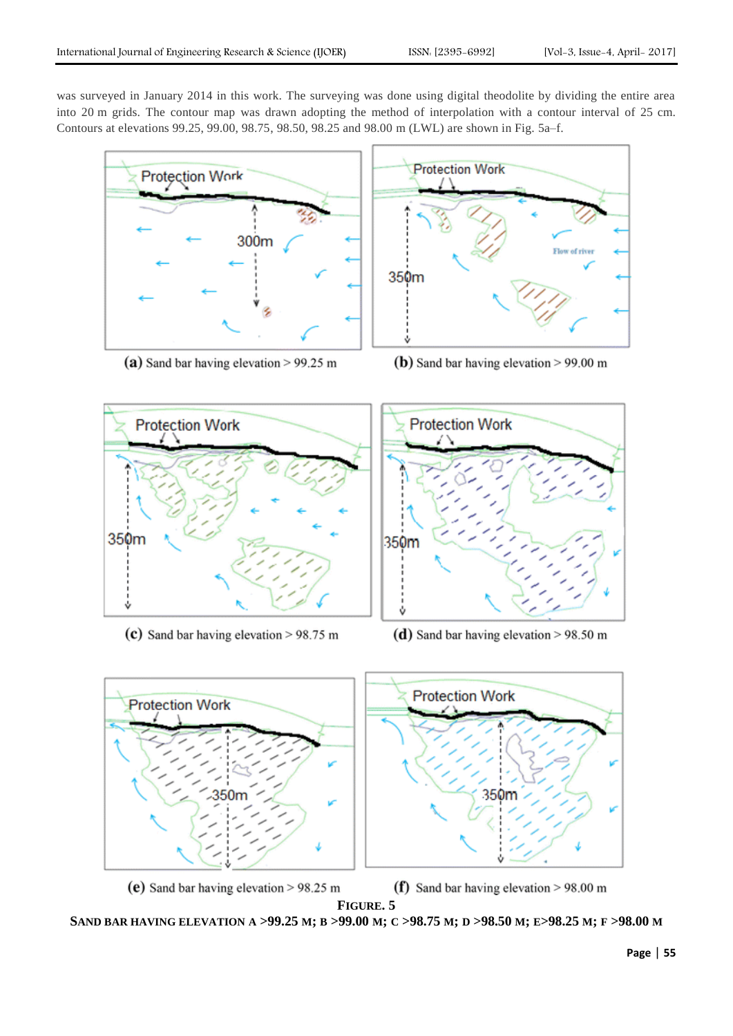was surveyed in January 2014 in this work. The surveying was done using digital theodolite by dividing the entire area into 20 m grids. The contour map was drawn adopting the method of interpolation with a contour interval of 25 cm. Contours at elevations 99.25, 99.00, 98.75, 98.50, 98.25 and 98.00 m (LWL) are shown in Fig. [5a](http://link.springer.com/article/10.1007/s40891-016-0052-8#Fig5)–f.



(a) Sand bar having elevation  $> 99.25$  m



(b) Sand bar having elevation  $> 99.00 \text{ m}$ 



(c) Sand bar having elevation  $> 98.75$  m





(f) Sand bar having elevation  $> 98.00$  m

**FIGURE. 5**

SAND BAR HAVING ELEVATION A >99.25 M; B >99.00 M; C >98.75 M; D >98.50 M; E>98.25 M; F >98.00 M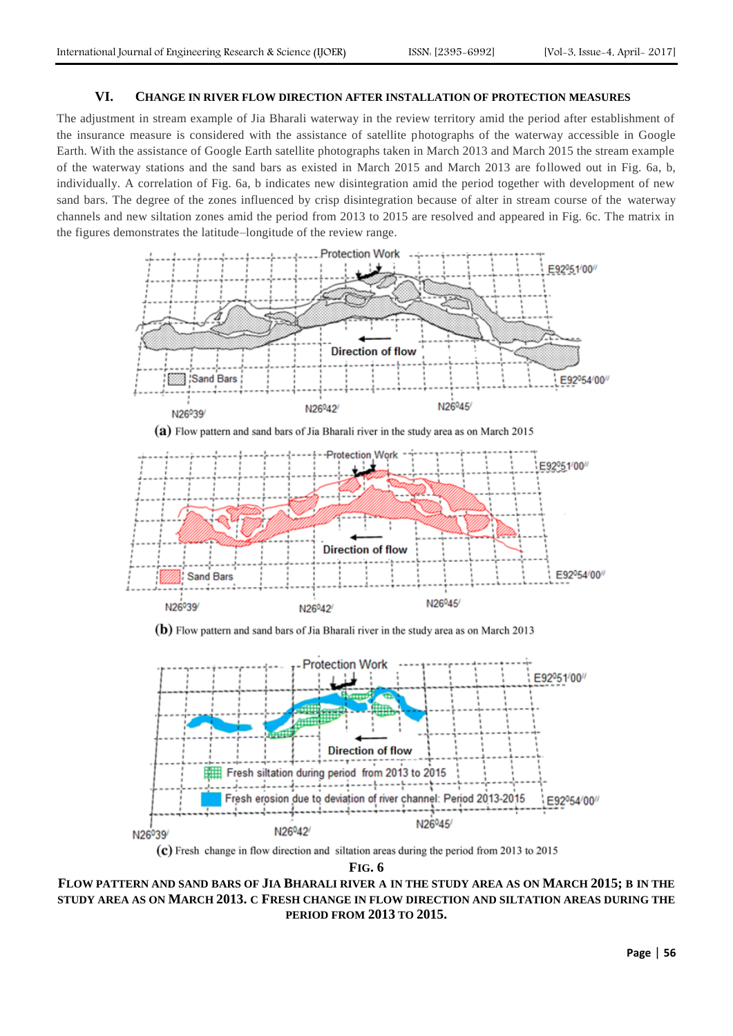# **VI. CHANGE IN RIVER FLOW DIRECTION AFTER INSTALLATION OF PROTECTION MEASURES**

The adjustment in stream example of Jia Bharali waterway in the review territory amid the period after establishment of the insurance measure is considered with the assistance of satellite photographs of the waterway accessible in Google Earth. With the assistance of Google Earth satellite photographs taken in March 2013 and March 2015 the stream example of the waterway stations and the sand bars as existed in March 2015 and March 2013 are followed out in Fig. 6a, b, individually. A correlation of Fig. 6a, b indicates new disintegration amid the period together with development of new sand bars. The degree of the zones influenced by crisp disintegration because of alter in stream course of the waterway channels and new siltation zones amid the period from 2013 to 2015 are resolved and appeared in Fig. 6c. The matrix in the figures demonstrates the latitude–longitude of the review range.





(c) Fresh change in flow direction and siltation areas during the period from 2013 to 2015

**FIG. 6**

# **FLOW PATTERN AND SAND BARS OF JIA BHARALI RIVER A IN THE STUDY AREA AS ON MARCH 2015; B IN THE STUDY AREA AS ON MARCH 2013. C FRESH CHANGE IN FLOW DIRECTION AND SILTATION AREAS DURING THE PERIOD FROM 2013 TO 2015.**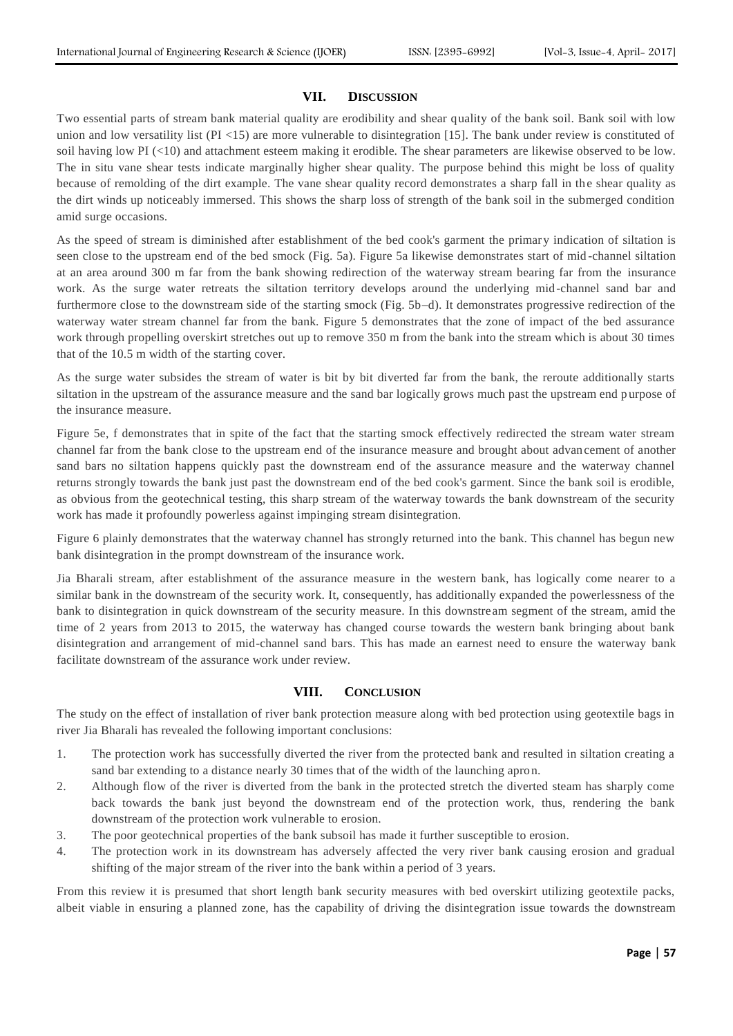## **VII. DISCUSSION**

Two essential parts of stream bank material quality are erodibility and shear quality of the bank soil. Bank soil with low union and low versatility list (PI  $<$  15) are more vulnerable to disintegration [15]. The bank under review is constituted of soil having low PI (<10) and attachment esteem making it erodible. The shear parameters are likewise observed to be low. The in situ vane shear tests indicate marginally higher shear quality. The purpose behind this might be loss of quality because of remolding of the dirt example. The vane shear quality record demonstrates a sharp fall in the shear quality as the dirt winds up noticeably immersed. This shows the sharp loss of strength of the bank soil in the submerged condition amid surge occasions.

As the speed of stream is diminished after establishment of the bed cook's garment the primary indication of siltation is seen close to the upstream end of the bed smock (Fig. 5a). Figure 5a likewise demonstrates start of mid -channel siltation at an area around 300 m far from the bank showing redirection of the waterway stream bearing far from the insurance work. As the surge water retreats the siltation territory develops around the underlying mid-channel sand bar and furthermore close to the downstream side of the starting smock (Fig. 5b–d). It demonstrates progressive redirection of the waterway water stream channel far from the bank. Figure 5 demonstrates that the zone of impact of the bed assurance work through propelling overskirt stretches out up to remove 350 m from the bank into the stream which is about 30 times that of the 10.5 m width of the starting cover.

As the surge water subsides the stream of water is bit by bit diverted far from the bank, the reroute additionally starts siltation in the upstream of the assurance measure and the sand bar logically grows much past the upstream end purpose of the insurance measure.

Figure 5e, f demonstrates that in spite of the fact that the starting smock effectively redirected the stream water stream channel far from the bank close to the upstream end of the insurance measure and brought about advancement of another sand bars no siltation happens quickly past the downstream end of the assurance measure and the waterway channel returns strongly towards the bank just past the downstream end of the bed cook's garment. Since the bank soil is erodible, as obvious from the geotechnical testing, this sharp stream of the waterway towards the bank downstream of the security work has made it profoundly powerless against impinging stream disintegration.

Figure 6 plainly demonstrates that the waterway channel has strongly returned into the bank. This channel has begun new bank disintegration in the prompt downstream of the insurance work.

Jia Bharali stream, after establishment of the assurance measure in the western bank, has logically come nearer to a similar bank in the downstream of the security work. It, consequently, has additionally expanded the powerlessness of the bank to disintegration in quick downstream of the security measure. In this downstream segment of the stream, amid the time of 2 years from 2013 to 2015, the waterway has changed course towards the western bank bringing about bank disintegration and arrangement of mid-channel sand bars. This has made an earnest need to ensure the waterway bank facilitate downstream of the assurance work under review.

# **VIII. CONCLUSION**

The study on the effect of installation of river bank protection measure along with bed protection using geotextile bags in river Jia Bharali has revealed the following important conclusions:

- 1. The protection work has successfully diverted the river from the protected bank and resulted in siltation creating a sand bar extending to a distance nearly 30 times that of the width of the launching apron.
- 2. Although flow of the river is diverted from the bank in the protected stretch the diverted steam has sharply come back towards the bank just beyond the downstream end of the protection work, thus, rendering the bank downstream of the protection work vulnerable to erosion.
- 3. The poor geotechnical properties of the bank subsoil has made it further susceptible to erosion.
- 4. The protection work in its downstream has adversely affected the very river bank causing erosion and gradual shifting of the major stream of the river into the bank within a period of 3 years.

From this review it is presumed that short length bank security measures with bed overskirt utilizing geotextile packs, albeit viable in ensuring a planned zone, has the capability of driving the disintegration issue towards the downstream